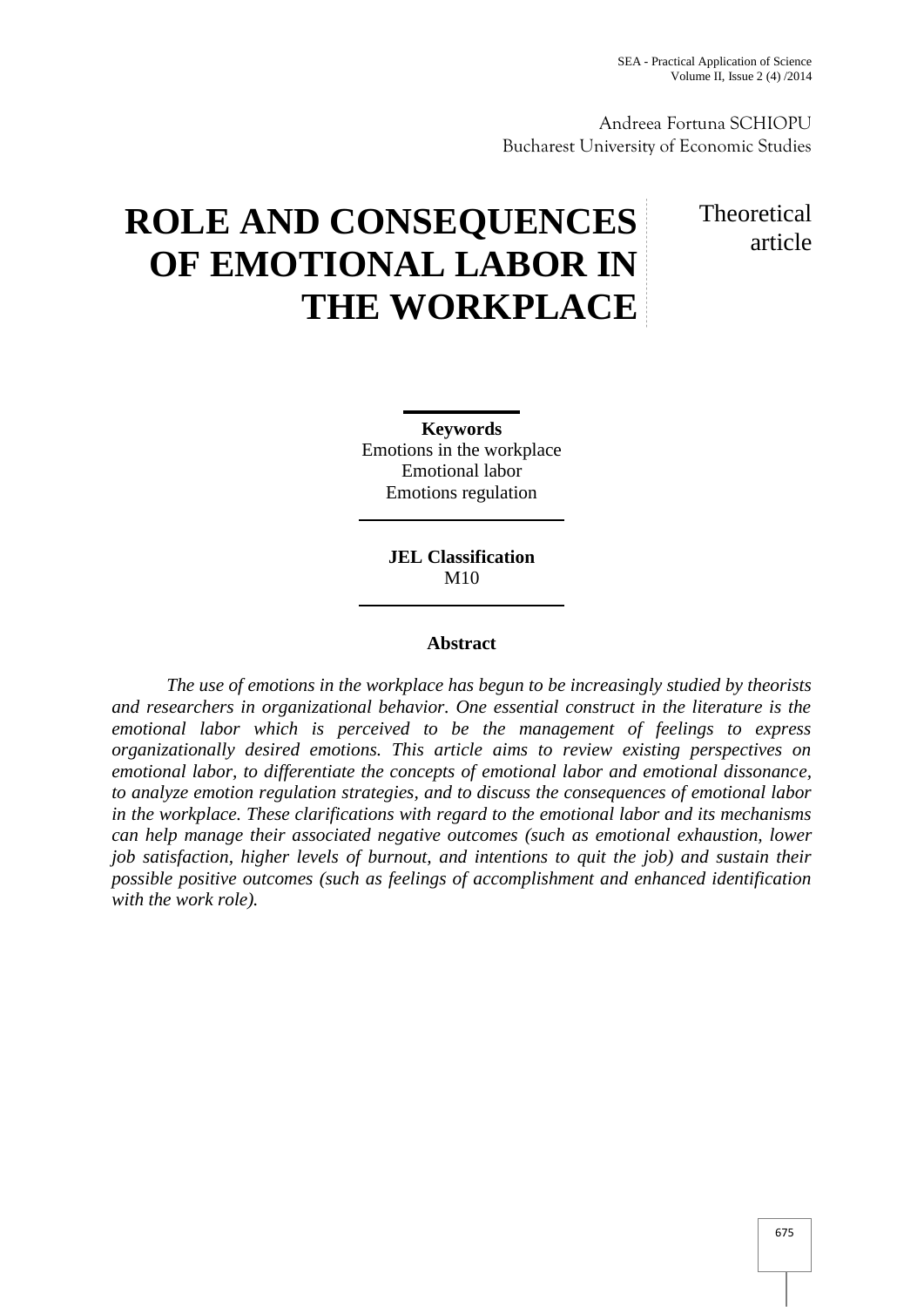Andreea Fortuna SCHIOPU Bucharest University of Economic Studies

# **ROLE AND CONSEQUENCES OF EMOTIONAL LABOR IN THE WORKPLACE**

# **Theoretical** article

**Keywords** Emotions in the workplace Emotional labor Emotions regulation

> **JEL Classification** M10

# **Abstract**

*The use of emotions in the workplace has begun to be increasingly studied by theorists and researchers in organizational behavior. One essential construct in the literature is the emotional labor which is perceived to be the management of feelings to express organizationally desired emotions. This article aims to review existing perspectives on emotional labor, to differentiate the concepts of emotional labor and emotional dissonance, to analyze emotion regulation strategies, and to discuss the consequences of emotional labor in the workplace. These clarifications with regard to the emotional labor and its mechanisms can help manage their associated negative outcomes (such as emotional exhaustion, lower job satisfaction, higher levels of burnout, and intentions to quit the job) and sustain their possible positive outcomes (such as feelings of accomplishment and enhanced identification with the work role).*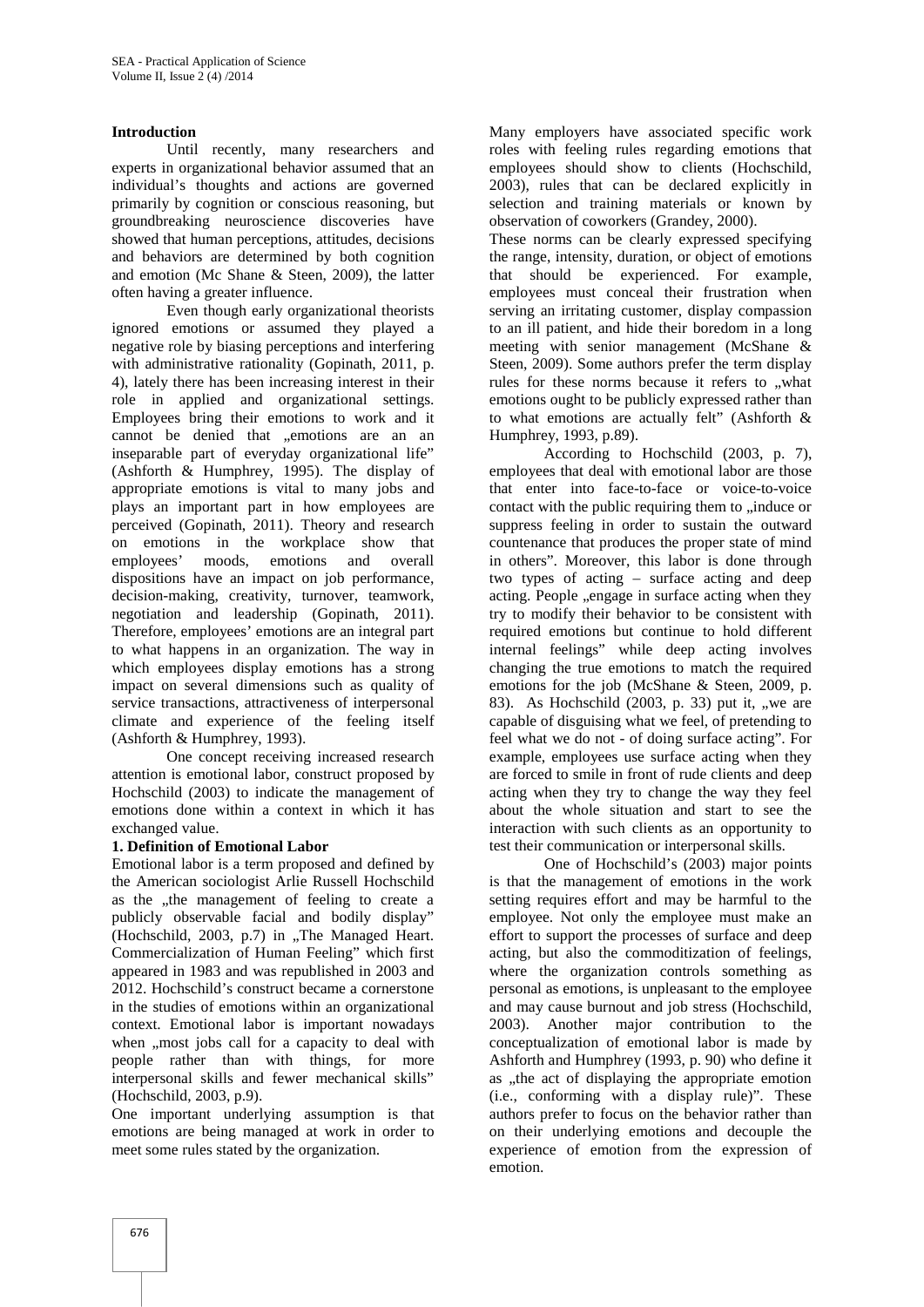#### **Introduction**

Until recently, many researchers and experts in organizational behavior assumed that an individual's thoughts and actions are governed primarily by cognition or conscious reasoning, but groundbreaking neuroscience discoveries have showed that human perceptions, attitudes, decisions and behaviors are determined by both cognition and emotion (Mc Shane & Steen, 2009), the latter often having a greater influence.

Even though early organizational theorists ignored emotions or assumed they played a negative role by biasing perceptions and interfering with administrative rationality (Gopinath, 2011, p. 4), lately there has been increasing interest in their role in applied and organizational settings. Employees bring their emotions to work and it cannot be denied that .emotions are an an inseparable part of everyday organizational life" (Ashforth & Humphrey, 1995). The display of appropriate emotions is vital to many jobs and plays an important part in how employees are perceived (Gopinath, 2011). Theory and research on emotions in the workplace show that employees' moods, emotions and overall dispositions have an impact on job performance, decision-making, creativity, turnover, teamwork, negotiation and leadership (Gopinath, 2011). Therefore, employees' emotions are an integral part to what happens in an organization. The way in which employees display emotions has a strong impact on several dimensions such as quality of service transactions, attractiveness of interpersonal climate and experience of the feeling itself (Ashforth & Humphrey, 1993).

One concept receiving increased research attention is emotional labor, construct proposed by Hochschild (2003) to indicate the management of emotions done within a context in which it has exchanged value.

## **1. Definition of Emotional Labor**

Emotional labor is a term proposed and defined by the American sociologist Arlie Russell Hochschild as the "the management of feeling to create a publicly observable facial and bodily display" (Hochschild,  $2003$ , p.7) in "The Managed Heart. Commercialization of Human Feeling" which first appeared in 1983 and was republished in 2003 and 2012. Hochschild's construct became a cornerstone in the studies of emotions within an organizational context. Emotional labor is important nowadays when ,,most jobs call for a capacity to deal with people rather than with things, for more interpersonal skills and fewer mechanical skills" (Hochschild, 2003, p.9).

One important underlying assumption is that emotions are being managed at work in order to meet some rules stated by the organization.

Many employers have associated specific work roles with feeling rules regarding emotions that employees should show to clients (Hochschild, 2003), rules that can be declared explicitly in selection and training materials or known by observation of coworkers (Grandey, 2000).

These norms can be clearly expressed specifying the range, intensity, duration, or object of emotions that should be experienced. For example, employees must conceal their frustration when serving an irritating customer, display compassion to an ill patient, and hide their boredom in a long meeting with senior management (McShane & Steen, 2009). Some authors prefer the term display rules for these norms because it refers to "what emotions ought to be publicly expressed rather than to what emotions are actually felt" (Ashforth & Humphrey, 1993, p.89).

According to Hochschild (2003, p. 7), employees that deal with emotional labor are those that enter into face-to-face or voice-to-voice contact with the public requiring them to , induce or suppress feeling in order to sustain the outward countenance that produces the proper state of mind in others". Moreover, this labor is done through two types of acting – surface acting and deep acting. People ,, engage in surface acting when they try to modify their behavior to be consistent with required emotions but continue to hold different internal feelings" while deep acting involves changing the true emotions to match the required emotions for the job (McShane & Steen, 2009, p. 83). As Hochschild  $(2003, p. 33)$  put it, "we are capable of disguising what we feel, of pretending to feel what we do not - of doing surface acting". For example, employees use surface acting when they are forced to smile in front of rude clients and deep acting when they try to change the way they feel about the whole situation and start to see the interaction with such clients as an opportunity to test their communication or interpersonal skills.

One of Hochschild's (2003) major points is that the management of emotions in the work setting requires effort and may be harmful to the employee. Not only the employee must make an effort to support the processes of surface and deep acting, but also the commoditization of feelings, where the organization controls something as personal as emotions, is unpleasant to the employee and may cause burnout and job stress (Hochschild, 2003). Another major contribution to the conceptualization of emotional labor is made by Ashforth and Humphrey (1993, p. 90) who define it as "the act of displaying the appropriate emotion (i.e., conforming with a display rule)". These authors prefer to focus on the behavior rather than on their underlying emotions and decouple the experience of emotion from the expression of emotion.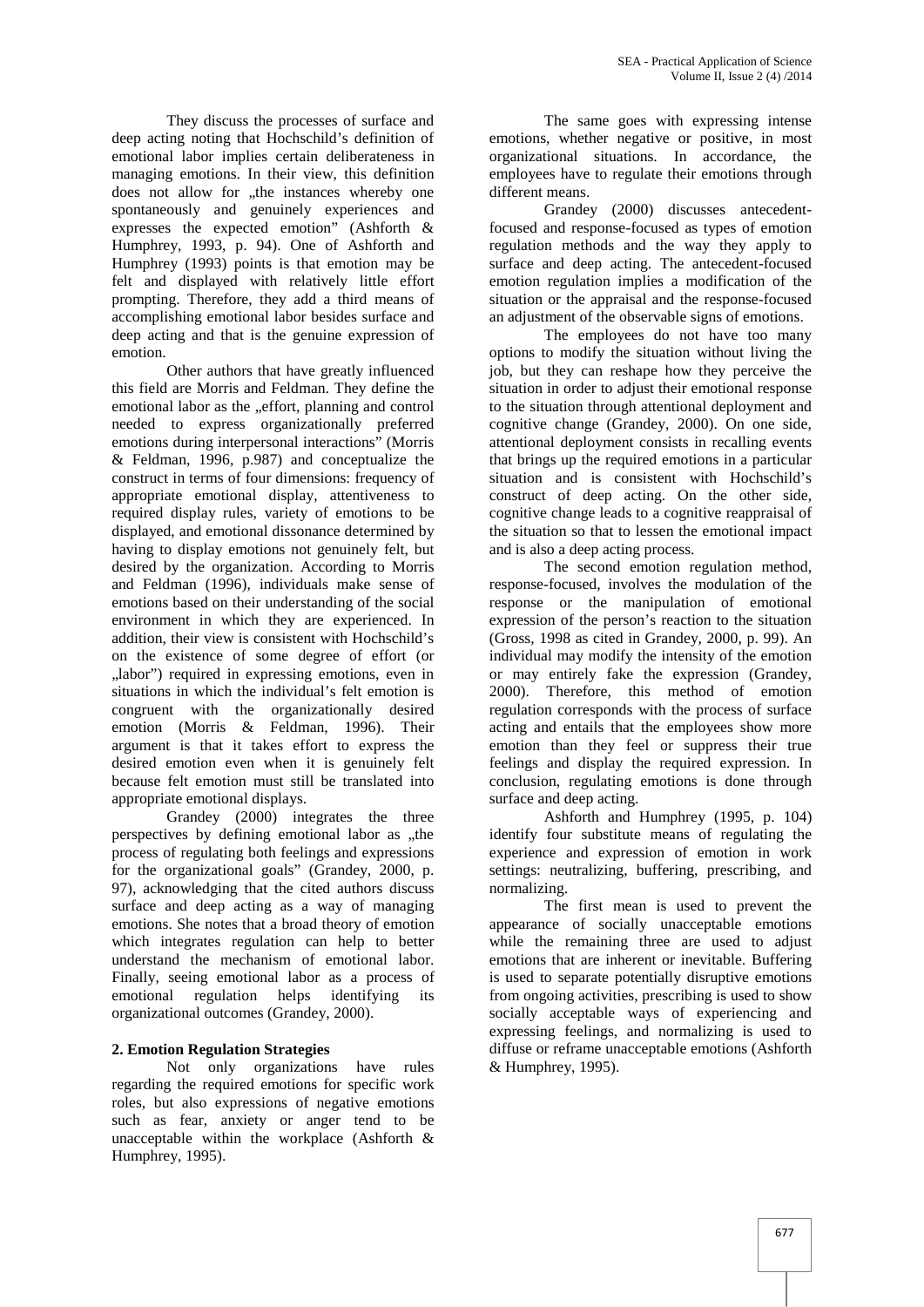They discuss the processes of surface and deep acting noting that Hochschild's definition of emotional labor implies certain deliberateness in managing emotions. In their view, this definition does not allow for "the instances whereby one spontaneously and genuinely experiences and expresses the expected emotion" (Ashforth & Humphrey, 1993, p. 94). One of Ashforth and Humphrey (1993) points is that emotion may be felt and displayed with relatively little effort prompting. Therefore, they add a third means of accomplishing emotional labor besides surface and deep acting and that is the genuine expression of emotion.

Other authors that have greatly influenced this field are Morris and Feldman. They define the emotional labor as the "effort, planning and control needed to express organizationally preferred emotions during interpersonal interactions" (Morris & Feldman, 1996, p.987) and conceptualize the construct in terms of four dimensions: frequency of appropriate emotional display, attentiveness to required display rules, variety of emotions to be displayed, and emotional dissonance determined by having to display emotions not genuinely felt, but desired by the organization. According to Morris and Feldman (1996), individuals make sense of emotions based on their understanding of the social environment in which they are experienced. In addition, their view is consistent with Hochschild's on the existence of some degree of effort (or "labor") required in expressing emotions, even in situations in which the individual's felt emotion is congruent with the organizationally desired emotion (Morris & Feldman, 1996). Their argument is that it takes effort to express the desired emotion even when it is genuinely felt because felt emotion must still be translated into appropriate emotional displays.

Grandey (2000) integrates the three perspectives by defining emotional labor as "the process of regulating both feelings and expressions for the organizational goals" (Grandey, 2000, p. 97), acknowledging that the cited authors discuss surface and deep acting as a way of managing emotions. She notes that a broad theory of emotion which integrates regulation can help to better understand the mechanism of emotional labor. Finally, seeing emotional labor as a process of emotional regulation helps identifying its organizational outcomes (Grandey, 2000).

# **2. Emotion Regulation Strategies**

Not only organizations have rules regarding the required emotions for specific work roles, but also expressions of negative emotions such as fear, anxiety or anger tend to be unacceptable within the workplace (Ashforth & Humphrey, 1995).

The same goes with expressing intense emotions, whether negative or positive, in most organizational situations. In accordance, the employees have to regulate their emotions through different means.

Grandey (2000) discusses antecedentfocused and response-focused as types of emotion regulation methods and the way they apply to surface and deep acting. The antecedent-focused emotion regulation implies a modification of the situation or the appraisal and the response-focused an adjustment of the observable signs of emotions.

The employees do not have too many options to modify the situation without living the job, but they can reshape how they perceive the situation in order to adjust their emotional response to the situation through attentional deployment and cognitive change (Grandey, 2000). On one side, attentional deployment consists in recalling events that brings up the required emotions in a particular situation and is consistent with Hochschild's construct of deep acting. On the other side, cognitive change leads to a cognitive reappraisal of the situation so that to lessen the emotional impact and is also a deep acting process.

The second emotion regulation method, response-focused, involves the modulation of the response or the manipulation of emotional expression of the person's reaction to the situation (Gross, 1998 as cited in Grandey, 2000, p. 99). An individual may modify the intensity of the emotion or may entirely fake the expression (Grandey, 2000). Therefore, this method of emotion regulation corresponds with the process of surface acting and entails that the employees show more emotion than they feel or suppress their true feelings and display the required expression. In conclusion, regulating emotions is done through surface and deep acting.

Ashforth and Humphrey (1995, p. 104) identify four substitute means of regulating the experience and expression of emotion in work settings: neutralizing, buffering, prescribing, and normalizing.

The first mean is used to prevent the appearance of socially unacceptable emotions while the remaining three are used to adjust emotions that are inherent or inevitable. Buffering is used to separate potentially disruptive emotions from ongoing activities, prescribing is used to show socially acceptable ways of experiencing and expressing feelings, and normalizing is used to diffuse or reframe unacceptable emotions (Ashforth & Humphrey, 1995).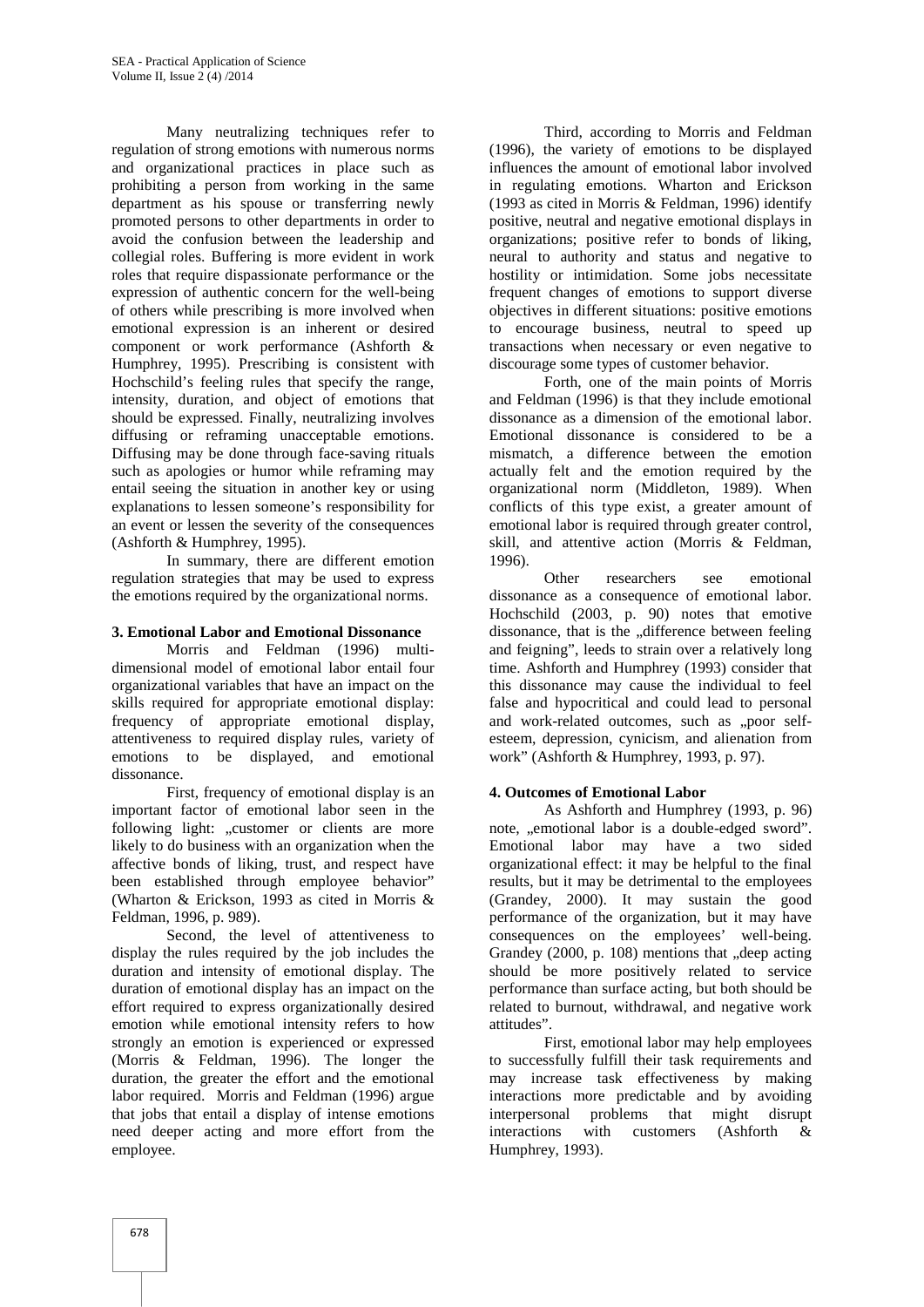Many neutralizing techniques refer to regulation of strong emotions with numerous norms and organizational practices in place such as prohibiting a person from working in the same department as his spouse or transferring newly promoted persons to other departments in order to avoid the confusion between the leadership and collegial roles. Buffering is more evident in work roles that require dispassionate performance or the expression of authentic concern for the well-being of others while prescribing is more involved when emotional expression is an inherent or desired component or work performance (Ashforth & Humphrey, 1995). Prescribing is consistent with Hochschild's feeling rules that specify the range, intensity, duration, and object of emotions that should be expressed. Finally, neutralizing involves diffusing or reframing unacceptable emotions. Diffusing may be done through face-saving rituals such as apologies or humor while reframing may entail seeing the situation in another key or using explanations to lessen someone's responsibility for an event or lessen the severity of the consequences (Ashforth & Humphrey, 1995).

In summary, there are different emotion regulation strategies that may be used to express the emotions required by the organizational norms.

#### **3. Emotional Labor and Emotional Dissonance**

Morris and Feldman (1996) multi dimensional model of emotional labor entail four organizational variables that have an impact on the skills required for appropriate emotional display: frequency of appropriate emotional display, attentiveness to required display rules, variety of emotions to be displayed, and emotional dissonance.

First, frequency of emotional display is an important factor of emotional labor seen in the following light: "customer or clients are more likely to do business with an organization when the affective bonds of liking, trust, and respect have been established through employee behavior" (Wharton & Erickson, 1993 as cited in Morris & Feldman, 1996, p. 989).

Second, the level of attentiveness to display the rules required by the job includes the duration and intensity of emotional display. The duration of emotional display has an impact on the effort required to express organizationally desired emotion while emotional intensity refers to how strongly an emotion is experienced or expressed (Morris & Feldman, 1996). The longer the duration, the greater the effort and the emotional labor required. Morris and Feldman (1996) argue that jobs that entail a display of intense emotions need deeper acting and more effort from the employee.

Third, according to Morris and Feldman (1996), the variety of emotions to be displayed influences the amount of emotional labor involved in regulating emotions. Wharton and Erickson (1993 as cited in Morris & Feldman, 1996) identify positive, neutral and negative emotional displays in organizations; positive refer to bonds of liking, neural to authority and status and negative to hostility or intimidation. Some jobs necessitate frequent changes of emotions to support diverse objectives in different situations: positive emotions to encourage business, neutral to speed up transactions when necessary or even negative to discourage some types of customer behavior.

Forth, one of the main points of Morris and Feldman (1996) is that they include emotional dissonance as a dimension of the emotional labor. Emotional dissonance is considered to be a mismatch, a difference between the emotion actually felt and the emotion required by the organizational norm (Middleton, 1989). When conflicts of this type exist, a greater amount of emotional labor is required through greater control, skill, and attentive action (Morris & Feldman, 1996).

Other researchers see emotional dissonance as a consequence of emotional labor. Hochschild (2003, p. 90) notes that emotive dissonance, that is the ..difference between feeling and feigning", leeds to strain over a relatively long time. Ashforth and Humphrey (1993) consider that this dissonance may cause the individual to feel false and hypocritical and could lead to personal and work-related outcomes, such as "poor selfesteem, depression, cynicism, and alienation from work" (Ashforth & Humphrey, 1993, p. 97).

#### **4. Outcomes of Emotional Labor**

As Ashforth and Humphrey (1993, p. 96) note, ..emotional labor is a double-edged sword". Emotional labor may have a two sided organizational effect: it may be helpful to the final results, but it may be detrimental to the employees (Grandey, 2000). It may sustain the good performance of the organization, but it may have consequences on the employees' well-being. Grandey  $(2000, p. 108)$  mentions that  $\Box$ deep acting should be more positively related to service performance than surface acting, but both should be related to burnout, withdrawal, and negative work attitudes".

First, emotional labor may help employees to successfully fulfill their task requirements and may increase task effectiveness by making interactions more predictable and by avoiding interpersonal problems that might disrupt interactions with customers (Ashforth & Humphrey, 1993).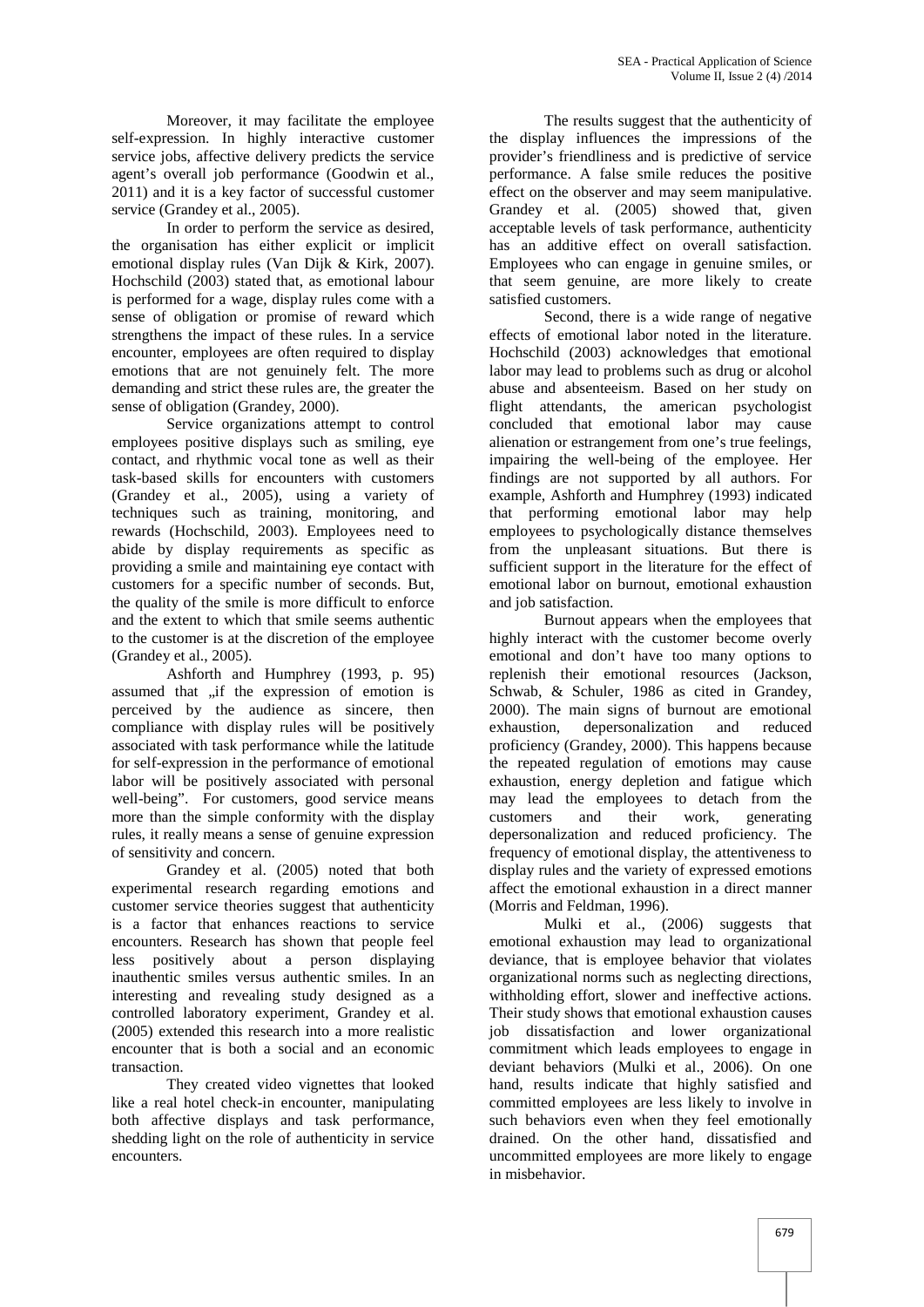Moreover, it may facilitate the employee self-expression. In highly interactive customer service jobs, affective delivery predicts the service agent's overall job performance (Goodwin et al., 2011) and it is a key factor of successful customer service (Grandey et al., 2005).

In order to perform the service as desired, the organisation has either explicit or implicit emotional display rules (Van Dijk & Kirk, 2007). Hochschild (2003) stated that, as emotional labour is performed for a wage, display rules come with a sense of obligation or promise of reward which strengthens the impact of these rules. In a service encounter, employees are often required to display emotions that are not genuinely felt. The more demanding and strict these rules are, the greater the sense of obligation (Grandey, 2000).

Service organizations attempt to control employees positive displays such as smiling, eye contact, and rhythmic vocal tone as well as their task-based skills for encounters with customers (Grandey et al., 2005), using a variety of techniques such as training, monitoring, and rewards (Hochschild, 2003). Employees need to abide by display requirements as specific as providing a smile and maintaining eye contact with customers for a specific number of seconds. But, the quality of the smile is more difficult to enforce and the extent to which that smile seems authentic to the customer is at the discretion of the employee (Grandey et al., 2005).

Ashforth and Humphrey (1993, p. 95) assumed that "if the expression of emotion is perceived by the audience as sincere, then compliance with display rules will be positively exhaustion, associated with task performance while the latitude for self-expression in the performance of emotional labor will be positively associated with personal well-being". For customers, good service means more than the simple conformity with the display customers rules, it really means a sense of genuine expression of sensitivity and concern.

Grandey et al. (2005) noted that both experimental research regarding emotions and customer service theories suggest that authenticity is a factor that enhances reactions to service encounters. Research has shown that people feel less positively about a person displaying inauthentic smiles versus authentic smiles. In an interesting and revealing study designed as a controlled laboratory experiment, Grandey et al. (2005) extended this research into a more realistic encounter that is both a social and an economic transaction.

They created video vignettes that looked like a real hotel check-in encounter, manipulating both affective displays and task performance, shedding light on the role of authenticity in service encounters.

The results suggest that the authenticity of the display influences the impressions of the provider's friendliness and is predictive of service performance. A false smile reduces the positive effect on the observer and may seem manipulative. Grandey et al. (2005) showed that, given acceptable levels of task performance, authenticity has an additive effect on overall satisfaction. Employees who can engage in genuine smiles, or that seem genuine, are more likely to create satisfied customers.

Second, there is a wide range of negative effects of emotional labor noted in the literature. Hochschild (2003) acknowledges that emotional labor may lead to problems such as drug or alcohol abuse and absenteeism. Based on her study on flight attendants, the american psychologist concluded that emotional labor may cause alienation or estrangement from one's true feelings, impairing the well-being of the employee. Her findings are not supported by all authors. For example, Ashforth and Humphrey (1993) indicated that performing emotional labor may help employees to psychologically distance themselves from the unpleasant situations. But there is sufficient support in the literature for the effect of emotional labor on burnout, emotional exhaustion and job satisfaction.

Burnout appears when the employees that highly interact with the customer become overly emotional and don't have too many options to replenish their emotional resources (Jackson, Schwab, & Schuler, 1986 as cited in Grandey, 2000). The main signs of burnout are emotional depersonalization and reduced proficiency (Grandey, 2000). This happens because the repeated regulation of emotions may cause exhaustion, energy depletion and fatigue which may lead the employees to detach from the and their work, generating depersonalization and reduced proficiency. The frequency of emotional display, the attentiveness to display rules and the variety of expressed emotions affect the emotional exhaustion in a direct manner (Morris and Feldman, 1996).

Mulki et al., (2006) suggests that emotional exhaustion may lead to organizational deviance, that is employee behavior that violates organizational norms such as neglecting directions, withholding effort, slower and ineffective actions. Their study shows that emotional exhaustion causes job dissatisfaction and lower organizational commitment which leads employees to engage in deviant behaviors (Mulki et al., 2006). On one hand, results indicate that highly satisfied and committed employees are less likely to involve in such behaviors even when they feel emotionally drained. On the other hand, dissatisfied and uncommitted employees are more likely to engage in misbehavior.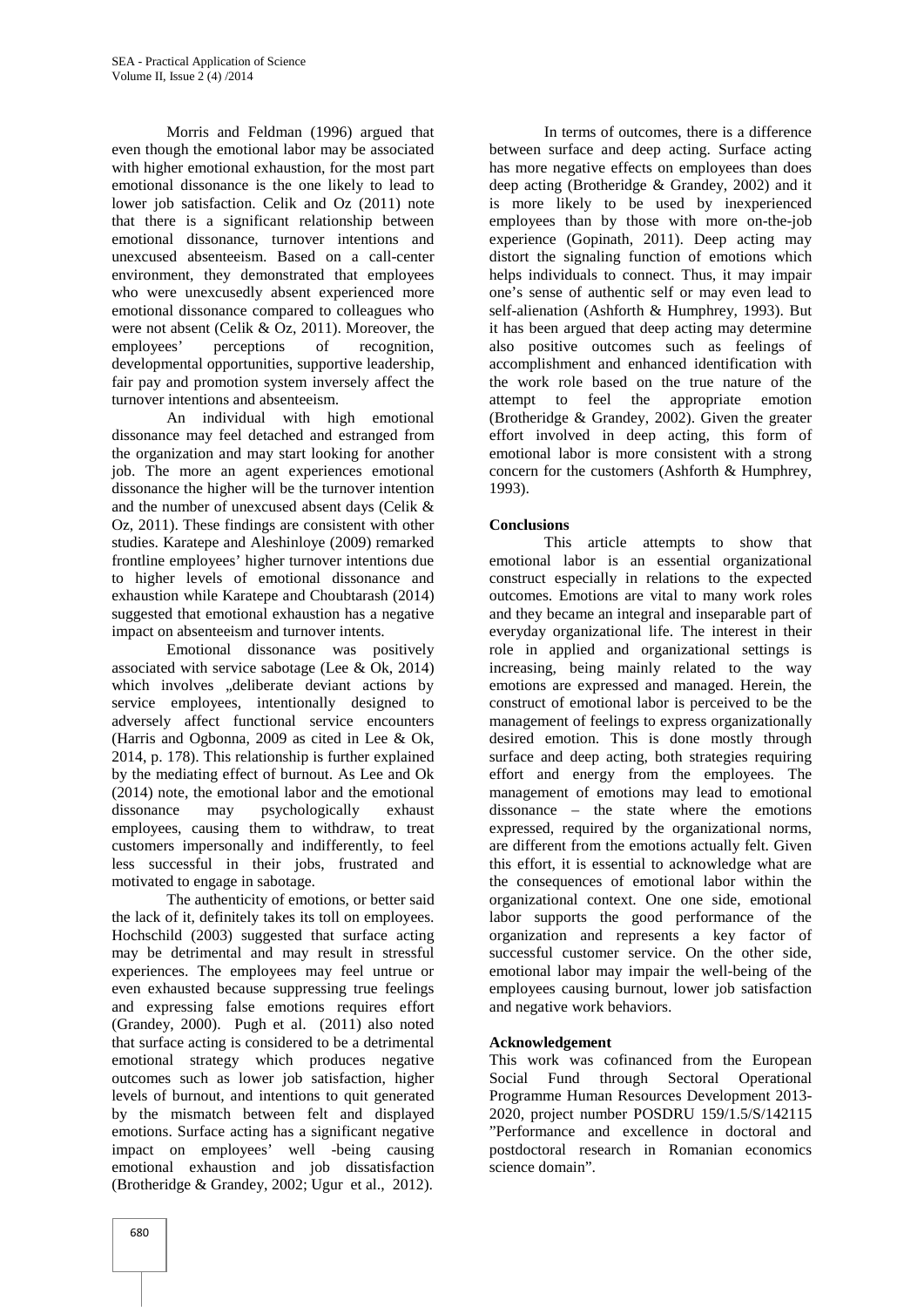Morris and Feldman (1996) argued that even though the emotional labor may be associated with higher emotional exhaustion, for the most part emotional dissonance is the one likely to lead to lower job satisfaction. Celik and Oz (2011) note that there is a significant relationship between emotional dissonance, turnover intentions and unexcused absenteeism. Based on a call-center environment, they demonstrated that employees who were unexcusedly absent experienced more emotional dissonance compared to colleagues who were not absent (Celik & Oz, 2011). Moreover, the employees' perceptions of recognition, developmental opportunities, supportive leadership, fair pay and promotion system inversely affect the turnover intentions and absenteeism.

An individual with high emotional dissonance may feel detached and estranged from the organization and may start looking for another job. The more an agent experiences emotional dissonance the higher will be the turnover intention and the number of unexcused absent days (Celik & Oz, 2011). These findings are consistent with other studies. Karatepe and Aleshinloye (2009) remarked frontline employees' higher turnover intentions due to higher levels of emotional dissonance and exhaustion while Karatepe and Choubtarash (2014) suggested that emotional exhaustion has a negative impact on absenteeism and turnover intents.

Emotional dissonance was positively associated with service sabotage (Lee & Ok, 2014) which involves "deliberate deviant actions by service employees, intentionally designed to adversely affect functional service encounters (Harris and Ogbonna, 2009 as cited in Lee & Ok, 2014, p. 178). This relationship is further explained by the mediating effect of burnout. As Lee and Ok (2014) note, the emotional labor and the emotional dissonance may psychologically exhaust employees, causing them to withdraw, to treat customers impersonally and indifferently, to feel less successful in their jobs, frustrated and motivated to engage in sabotage.

The authenticity of emotions, or better said the lack of it, definitely takes its toll on employees. Hochschild (2003) suggested that surface acting may be detrimental and may result in stressful experiences. The employees may feel untrue or even exhausted because suppressing true feelings and expressing false emotions requires effort (Grandey, 2000). Pugh et al. (2011) also noted that surface acting is considered to be a detrimental emotional strategy which produces negative outcomes such as lower job satisfaction, higher levels of burnout, and intentions to quit generated by the mismatch between felt and displayed emotions. Surface acting has a significant negative impact on employees' well -being causing emotional exhaustion and job dissatisfaction (Brotheridge & Grandey, 2002; Ugur et al., 2012).

In terms of outcomes, there is a difference between surface and deep acting. Surface acting has more negative effects on employees than does deep acting (Brotheridge & Grandey, 2002) and it is more likely to be used by inexperienced employees than by those with more on-the-job experience (Gopinath, 2011). Deep acting may distort the signaling function of emotions which helps individuals to connect. Thus, it may impair one's sense of authentic self or may even lead to self-alienation (Ashforth & Humphrey, 1993). But it has been argued that deep acting may determine also positive outcomes such as feelings of accomplishment and enhanced identification with the work role based on the true nature of the attempt to feel the appropriate emotion (Brotheridge & Grandey, 2002). Given the greater effort involved in deep acting, this form of emotional labor is more consistent with a strong concern for the customers (Ashforth & Humphrey, 1993).

## **Conclusions**

This article attempts to show that emotional labor is an essential organizational construct especially in relations to the expected outcomes. Emotions are vital to many work roles and they became an integral and inseparable part of everyday organizational life. The interest in their role in applied and organizational settings is increasing, being mainly related to the way emotions are expressed and managed. Herein, the construct of emotional labor is perceived to be the management of feelings to express organizationally desired emotion. This is done mostly through surface and deep acting, both strategies requiring effort and energy from the employees. The management of emotions may lead to emotional dissonance – the state where the emotions expressed, required by the organizational norms, are different from the emotions actually felt. Given this effort, it is essential to acknowledge what are the consequences of emotional labor within the organizational context. One one side, emotional labor supports the good performance of the organization and represents a key factor of successful customer service. On the other side, emotional labor may impair the well-being of the employees causing burnout, lower job satisfaction and negative work behaviors.

# **Acknowledgement**

This work was cofinanced from the European Social Fund through Sectoral Operational Programme Human Resources Development 2013- 2020, project number POSDRU 159/1.5/S/142115 "Performance and excellence in doctoral and postdoctoral research in Romanian economics science domain".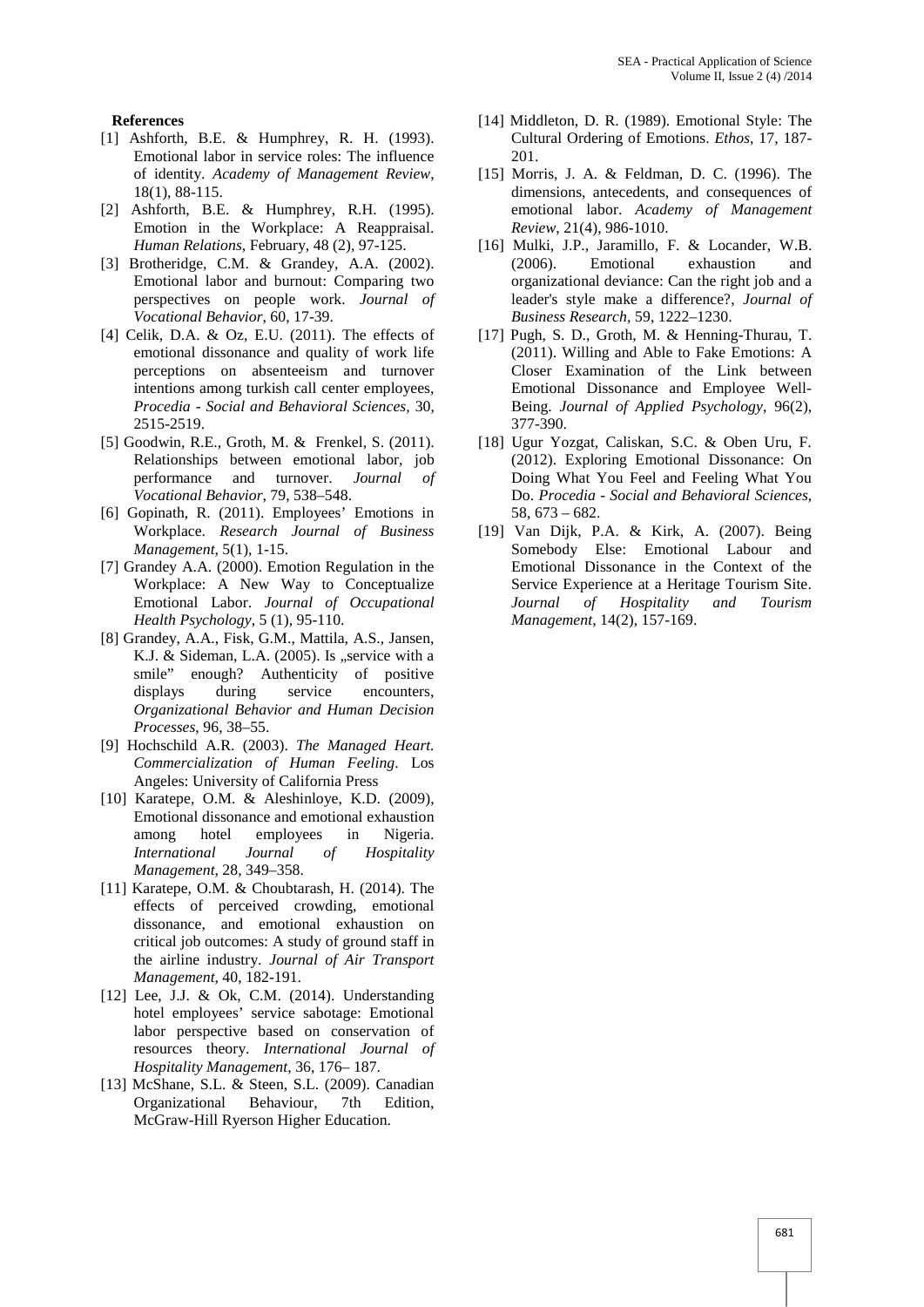#### **References**

- [1] Ashforth, B.E. & Humphrey, R. H. (1993). Emotional labor in service roles: The influence of identity. *Academy of Management Review*, 18(1), 88-115.
- [2] Ashforth, B.E. & Humphrey, R.H. (1995). Emotion in the Workplace: A Reappraisal. *Human Relations*, February, 48 (2), 97-125.
- [3] Brotheridge, C.M. & Grandey, A.A. (2002). Emotional labor and burnout: Comparing two perspectives on people work. *Journal of Vocational Behavior*, 60, 17-39.
- [4] Celik, D.A. & Oz, E.U. (2011). The effects of emotional dissonance and quality of work life perceptions on absenteeism and turnover intentions among turkish call center employees, *Procedia - Social and Behavioral Sciences*, 30, 2515-2519.
- [5] Goodwin, R.E., Groth, M. & Frenkel, S. (2011). Relationships between emotional labor, job performance and turnover. *Journal of Vocational Behavior*, 79, 538–548.
- [6] Gopinath, R. (2011). Employees' Emotions in Workplace. *Research Journal of Business Management*, 5(1), 1-15.
- [7] Grandey A.A. (2000). Emotion Regulation in the Workplace: A New Way to Conceptualize Emotional Labor. *Journal of Occupational Health Psychology*, 5 (1), 95-110.
- [8] Grandey, A.A., Fisk, G.M., Mattila, A.S., Jansen, K.J.  $&$  Sideman, L.A. (2005). Is "service with a smile" enough? Authenticity of positive displays during service encounters, *Organizational Behavior and Human Decision Processes*, 96, 38–55.
- [9] Hochschild A.R. (2003). *The Managed Heart. Commercialization of Human Feeling*. Los Angeles: University of California Press
- [10] Karatepe, O.M. & Aleshinloye, K.D. (2009), Emotional dissonance and emotional exhaustion among hotel employees in Nigeria. *International Journal of Hospitality Management*, 28, 349–358.
- [11] Karatepe, O.M. & Choubtarash, H. (2014). The effects of perceived crowding, emotional dissonance, and emotional exhaustion on critical job outcomes: A study of ground staff in the airline industry. *Journal of Air Transport Management*, 40, 182-191.
- [12] Lee, J.J. & Ok, C.M. (2014). Understanding hotel employees' service sabotage: Emotional labor perspective based on conservation of resources theory. *International Journal of Hospitality Management*, 36, 176– 187.
- [13] McShane, S.L. & Steen, S.L. (2009). Canadian Organizational Behaviour, 7th Edition, McGraw-Hill Ryerson Higher Education.
- [14] Middleton, D. R. (1989). Emotional Style: The Cultural Ordering of Emotions. *Ethos*, 17, 187- 201.
- [15] Morris, J. A. & Feldman, D. C. (1996). The dimensions, antecedents, and consequences of emotional labor. *Academy of Management Review*, 21(4), 986-1010.
- [16] Mulki, J.P., Jaramillo, F. & Locander, W.B. (2006). Emotional exhaustion and organizational deviance: Can the right job and a leader's style make a difference?, *Journal of Business Research*, 59, 1222–1230.
- [17] Pugh, S. D., Groth, M. & Henning-Thurau, T. (2011). Willing and Able to Fake Emotions: A Closer Examination of the Link between Emotional Dissonance and Employee Well- Being. *Journal of Applied Psychology*, 96(2), 377-390.
- [18] Ugur Yozgat, Caliskan, S.C. & Oben Uru, F. (2012). Exploring Emotional Dissonance: On Doing What You Feel and Feeling What You Do. *Procedia - Social and Behavioral Sciences*, 58, 673 – 682.
- [19] Van Dijk, P.A. & Kirk, A. (2007). Being Somebody Else: Emotional Labour and Emotional Dissonance in the Context of the Service Experience at a Heritage Tourism Site. *Journal of Hospitality and Tourism Management*, 14(2), 157-169.